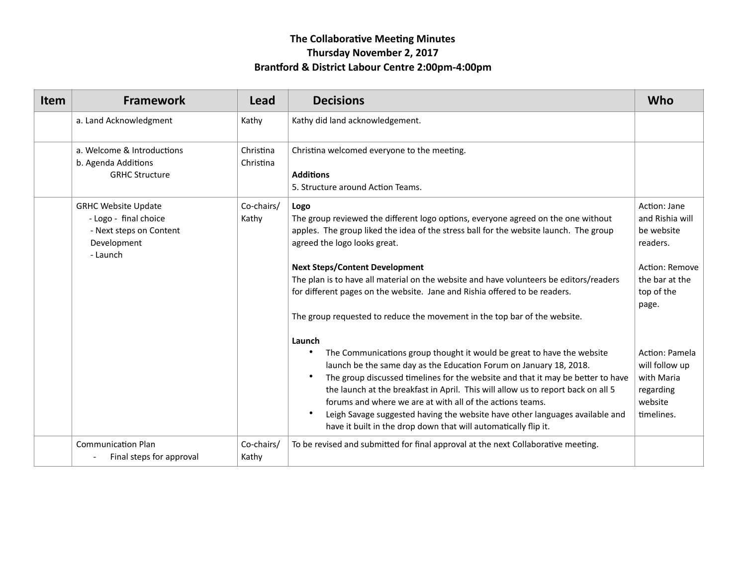# **The Collaborative Meeting Minutes Thursday November 2, 2017**  Brantford & District Labour Centre 2:00pm-4:00pm

| Item | <b>Framework</b>                                                                                          | Lead                   | <b>Decisions</b>                                                                                                                                                                                                                                                                                                                                                                                                                                                                                                                                                                                                                                                                                                                                                                                                                                                                                                                                                                               | Who                                                                                                                                                                                                          |
|------|-----------------------------------------------------------------------------------------------------------|------------------------|------------------------------------------------------------------------------------------------------------------------------------------------------------------------------------------------------------------------------------------------------------------------------------------------------------------------------------------------------------------------------------------------------------------------------------------------------------------------------------------------------------------------------------------------------------------------------------------------------------------------------------------------------------------------------------------------------------------------------------------------------------------------------------------------------------------------------------------------------------------------------------------------------------------------------------------------------------------------------------------------|--------------------------------------------------------------------------------------------------------------------------------------------------------------------------------------------------------------|
|      | a. Land Acknowledgment                                                                                    | Kathy                  | Kathy did land acknowledgement.                                                                                                                                                                                                                                                                                                                                                                                                                                                                                                                                                                                                                                                                                                                                                                                                                                                                                                                                                                |                                                                                                                                                                                                              |
|      | a. Welcome & Introductions<br>b. Agenda Additions<br><b>GRHC Structure</b>                                | Christina<br>Christina | Christina welcomed everyone to the meeting.<br><b>Additions</b><br>5. Structure around Action Teams.                                                                                                                                                                                                                                                                                                                                                                                                                                                                                                                                                                                                                                                                                                                                                                                                                                                                                           |                                                                                                                                                                                                              |
|      | <b>GRHC Website Update</b><br>- Logo - final choice<br>- Next steps on Content<br>Development<br>- Launch | Co-chairs/<br>Kathy    | Logo<br>The group reviewed the different logo options, everyone agreed on the one without<br>apples. The group liked the idea of the stress ball for the website launch. The group<br>agreed the logo looks great.<br><b>Next Steps/Content Development</b><br>The plan is to have all material on the website and have volunteers be editors/readers<br>for different pages on the website. Jane and Rishia offered to be readers.<br>The group requested to reduce the movement in the top bar of the website.<br>Launch<br>The Communications group thought it would be great to have the website<br>launch be the same day as the Education Forum on January 18, 2018.<br>The group discussed timelines for the website and that it may be better to have<br>the launch at the breakfast in April. This will allow us to report back on all 5<br>forums and where we are at with all of the actions teams.<br>Leigh Savage suggested having the website have other languages available and | Action: Jane<br>and Rishia will<br>be website<br>readers.<br>Action: Remove<br>the bar at the<br>top of the<br>page.<br>Action: Pamela<br>will follow up<br>with Maria<br>regarding<br>website<br>timelines. |
|      | <b>Communication Plan</b><br>Final steps for approval                                                     | Co-chairs/<br>Kathy    | have it built in the drop down that will automatically flip it.<br>To be revised and submitted for final approval at the next Collaborative meeting.                                                                                                                                                                                                                                                                                                                                                                                                                                                                                                                                                                                                                                                                                                                                                                                                                                           |                                                                                                                                                                                                              |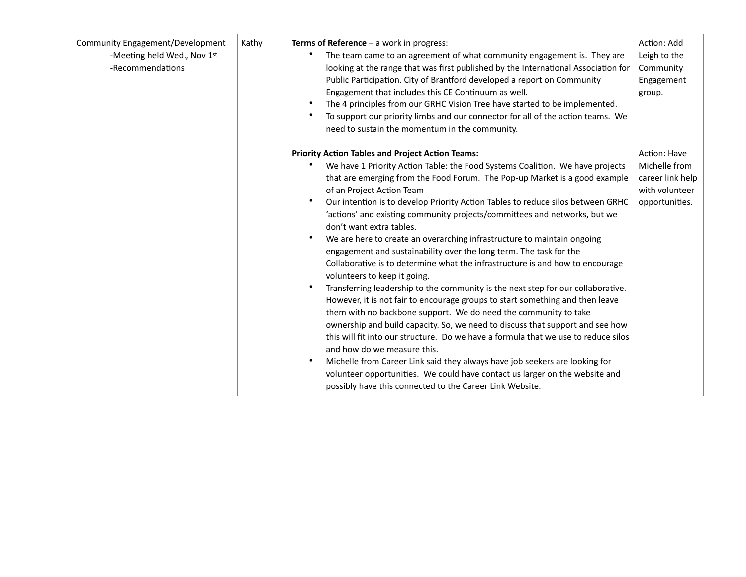| Community Engagement/Development<br>-Meeting held Wed., Nov 1st<br>-Recommendations | Kathy | Terms of Reference $-$ a work in progress:<br>The team came to an agreement of what community engagement is. They are<br>looking at the range that was first published by the International Association for<br>Public Participation. City of Brantford developed a report on Community<br>Engagement that includes this CE Continuum as well.<br>The 4 principles from our GRHC Vision Tree have started to be implemented.<br>To support our priority limbs and our connector for all of the action teams. We<br>need to sustain the momentum in the community.                                                                                                                                                                                                                                                                                                                                                                                                                                                                                                                                                                                                                                                                                                                                                                                                                          | Action: Add<br>Leigh to the<br>Community<br>Engagement<br>group.                      |
|-------------------------------------------------------------------------------------|-------|-------------------------------------------------------------------------------------------------------------------------------------------------------------------------------------------------------------------------------------------------------------------------------------------------------------------------------------------------------------------------------------------------------------------------------------------------------------------------------------------------------------------------------------------------------------------------------------------------------------------------------------------------------------------------------------------------------------------------------------------------------------------------------------------------------------------------------------------------------------------------------------------------------------------------------------------------------------------------------------------------------------------------------------------------------------------------------------------------------------------------------------------------------------------------------------------------------------------------------------------------------------------------------------------------------------------------------------------------------------------------------------------|---------------------------------------------------------------------------------------|
|                                                                                     |       | <b>Priority Action Tables and Project Action Teams:</b><br>We have 1 Priority Action Table: the Food Systems Coalition. We have projects<br>that are emerging from the Food Forum. The Pop-up Market is a good example<br>of an Project Action Team<br>Our intention is to develop Priority Action Tables to reduce silos between GRHC<br>'actions' and existing community projects/committees and networks, but we<br>don't want extra tables.<br>We are here to create an overarching infrastructure to maintain ongoing<br>engagement and sustainability over the long term. The task for the<br>Collaborative is to determine what the infrastructure is and how to encourage<br>volunteers to keep it going.<br>Transferring leadership to the community is the next step for our collaborative.<br>However, it is not fair to encourage groups to start something and then leave<br>them with no backbone support. We do need the community to take<br>ownership and build capacity. So, we need to discuss that support and see how<br>this will fit into our structure. Do we have a formula that we use to reduce silos<br>and how do we measure this.<br>Michelle from Career Link said they always have job seekers are looking for<br>volunteer opportunities. We could have contact us larger on the website and<br>possibly have this connected to the Career Link Website. | Action: Have<br>Michelle from<br>career link help<br>with volunteer<br>opportunities. |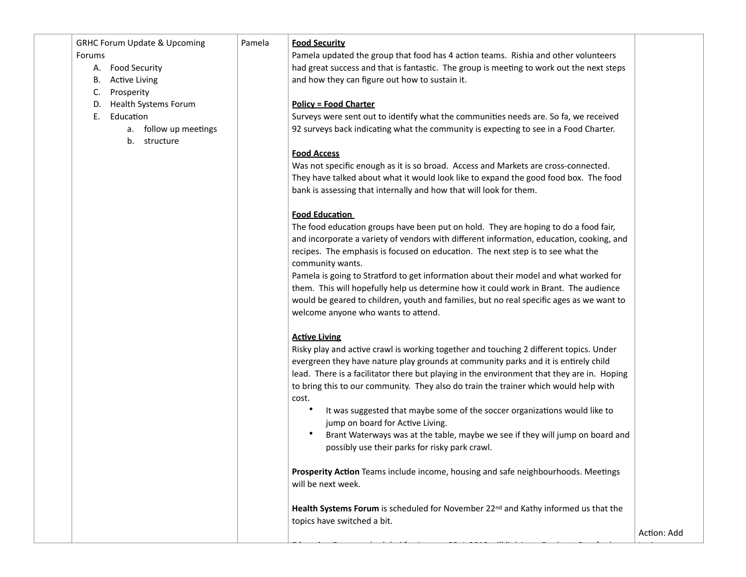### GRHC Forum Update & Upcoming

#### Forums

- A. Food Security
- B. Active Living
- C. Prosperity
- D. Health Systems Forum
- E. Education
	- a. follow up meetings
	- b. structure

#### Pamela **Food Security**

Pamela updated the group that food has 4 action teams. Rishia and other volunteers had great success and that is fantastic. The group is meeting to work out the next steps and how they can figure out how to sustain it.

## **Policy = Food Charter**

Surveys were sent out to identify what the communities needs are. So fa, we received 92 surveys back indicating what the community is expecting to see in a Food Charter.

## **Food Access**

Was not specific enough as it is so broad. Access and Markets are cross-connected. They have talked about what it would look like to expand the good food box. The food bank is assessing that internally and how that will look for them.

# **Food Education**

The food education groups have been put on hold. They are hoping to do a food fair, and incorporate a variety of vendors with different information, education, cooking, and recipes. The emphasis is focused on education. The next step is to see what the community wants.

Pamela is going to Stratford to get information about their model and what worked for them. This will hopefully help us determine how it could work in Brant. The audience would be geared to children, youth and families, but no real specific ages as we want to welcome anyone who wants to attend.

# **Active Living**

Risky play and active crawl is working together and touching 2 different topics. Under evergreen they have nature play grounds at community parks and it is entirely child lead. There is a facilitator there but playing in the environment that they are in. Hoping to bring this to our community. They also do train the trainer which would help with cost.

- It was suggested that maybe some of the soccer organizations would like to jump on board for Active Living.
- Brant Waterways was at the table, maybe we see if they will jump on board and possibly use their parks for risky park crawl.

**Prosperity Action** Teams include income, housing and safe neighbourhoods. Meetings will be next week.

**Health Systems Forum** is scheduled for November 22<sup>nd</sup> and Kathy informed us that the topics have switched a bit.

**Educa+on Forum**, scheduled for January 22nd, 2018 will link in to Graduate Branford,

Action: Add

Lori to